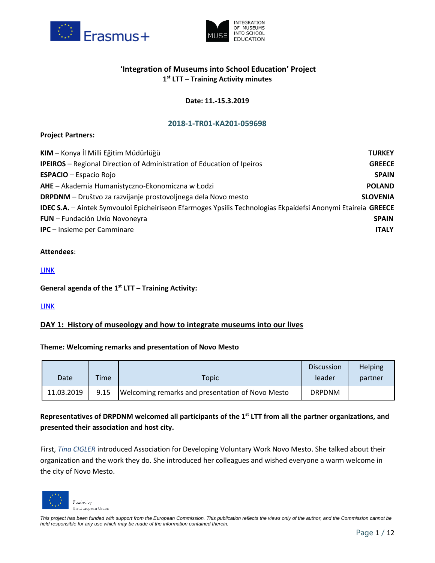



# **'Integration of Museums into School Education' Project 1 st LTT – Training Activity minutes**

## **Date: 11.-15.3.2019**

## **2018-1-TR01-KA201-059698**

## **Project Partners:**

| KIM - Konya İl Milli Eğitim Müdürlüğü                                                                        | <b>TURKEY</b>   |
|--------------------------------------------------------------------------------------------------------------|-----------------|
| <b>IPEIROS</b> – Regional Direction of Administration of Education of Ipeiros                                | <b>GREECE</b>   |
| <b>ESPACIO</b> - Espacio Rojo                                                                                | <b>SPAIN</b>    |
| AHE - Akademia Humanistyczno-Ekonomiczna w Łodzi                                                             | <b>POLAND</b>   |
| <b>DRPDNM</b> – Društvo za razvijanje prostovoljnega dela Novo mesto                                         | <b>SLOVENIA</b> |
| IDEC S.A. - Aintek Symvouloi Epicheiriseon Efarmoges Ypsilis Technologias Ekpaidefsi Anonymi Etaireia GREECE |                 |
| <b>FUN</b> - Fundación Uxío Novoneyra                                                                        | <b>SPAIN</b>    |
| <b>IPC</b> - Insieme per Camminare                                                                           | <b>ITALY</b>    |

## **Attendees**:

## [LINK](https://drive.google.com/file/d/10p8QqEP5V0rN5gkcZp8amT76j6zLDrNa/view)

## **General agenda of the 1 st LTT – Training Activity:**

## [LINK](https://drive.google.com/file/d/17_Thffydn1iSerXnbvxol4HkR8_V-f4S/view)

## **DAY 1: History of museology and how to integrate museums into our lives**

#### **Theme: Welcoming remarks and presentation of Novo Mesto**

|            |             |                                                  | <b>Discussion</b> | <b>Helping</b> |
|------------|-------------|--------------------------------------------------|-------------------|----------------|
| Date       | <b>Time</b> | Topic                                            | leader            | partner        |
| 11.03.2019 | 9.15        | Welcoming remarks and presentation of Novo Mesto | <b>DRPDNM</b>     |                |

# **Representatives of DRPDNM welcomed all participants of the 1st LTT from all the partner organizations, and presented their association and host city.**

First, *Tina CIGLER* introduced Association for Developing Voluntary Work Novo Mesto. She talked about their organization and the work they do. She introduced her colleagues and wished everyone a warm welcome in the city of Novo Mesto.

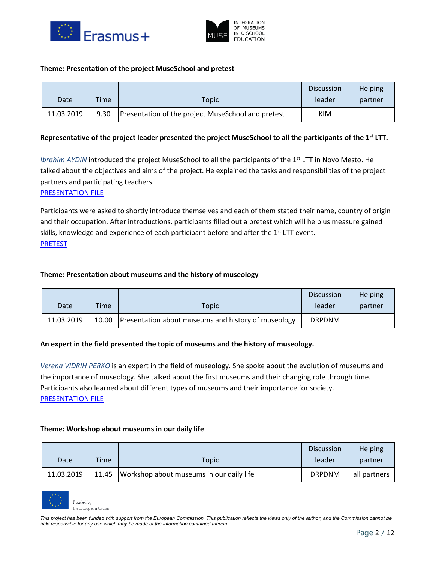



#### **Theme: Presentation of the project MuseSchool and pretest**

|            |      |                                                    | <b>Discussion</b> | Helping |
|------------|------|----------------------------------------------------|-------------------|---------|
| Date       | Time | Topic                                              | leader            | partner |
| 11.03.2019 | 9.30 | Presentation of the project MuseSchool and pretest | KIM               |         |

## **Representative of the project leader presented the project MuseSchool to all the participants of the 1st LTT.**

*Ibrahim AYDIN* introduced the project MuseSchool to all the participants of the 1<sup>st</sup> LTT in Novo Mesto. He talked about the objectives and aims of the project. He explained the tasks and responsibilities of the project partners and participating teachers.

#### [PRESENTATION FILE](https://drive.google.com/file/d/1MwGnmQ_vZeEalXbSN229nJEtQTSOOLbJ/view)

Participants were asked to shortly introduce themselves and each of them stated their name, country of origin and their occupation. After introductions, participants filled out a pretest which will help us measure gained skills, knowledge and experience of each participant before and after the  $1<sup>st</sup>$  LTT event. [PRETEST](https://drive.google.com/file/d/1ADJ8bW1LtSxEzMsFQreGe8pZT879T-9q/view)

#### **Theme: Presentation about museums and the history of museology**

|            |             |                                                     | <b>Discussion</b> | <b>Helping</b> |
|------------|-------------|-----------------------------------------------------|-------------------|----------------|
| Date       | <b>Time</b> | Topic                                               | leader            | partner        |
| 11.03.2019 | 10.00       | Presentation about museums and history of museology | <b>DRPDNM</b>     |                |

#### **An expert in the field presented the topic of museums and the history of museology.**

*Verena VIDRIH PERKO* is an expert in the field of museology. She spoke about the evolution of museums and the importance of museology. She talked about the first museums and their changing role through time. Participants also learned about different types of museums and their importance for society. [PRESENTATION FILE](https://drive.google.com/file/d/1mA3WYgdiwV8M2AnAGyfYTQTmhZZCvpeL/view)

#### **Theme: Workshop about museums in our daily life**

|            |       |                                          | <b>Discussion</b> | <b>Helping</b> |
|------------|-------|------------------------------------------|-------------------|----------------|
| Date       | Time  | Topic                                    | leader            | partner        |
| 11.03.2019 | 11.45 | Workshop about museums in our daily life | <b>DRPDNM</b>     | all partners   |

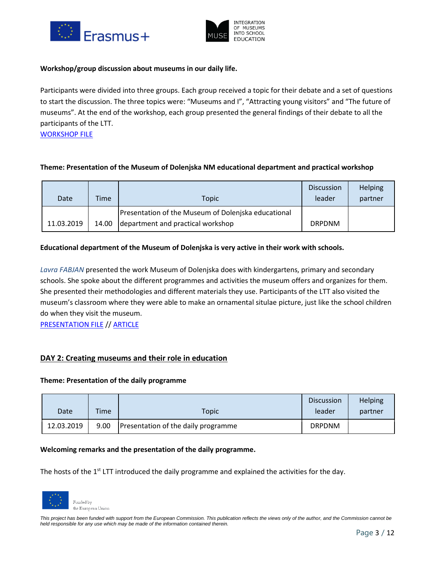



## **Workshop/group discussion about museums in our daily life.**

Participants were divided into three groups. Each group received a topic for their debate and a set of questions to start the discussion. The three topics were: "Museums and I", "Attracting young visitors" and "The future of museums". At the end of the workshop, each group presented the general findings of their debate to all the participants of the LTT.

[WORKSHOP](https://drive.google.com/file/d/1Hm-XBC5jIWSHmbm0GPt9y258aAmIqkyp/view) FILE

## **Theme: Presentation of the Museum of Dolenjska NM educational department and practical workshop**

| Date       | Time  | Topic                                               | <b>Discussion</b><br>leader | <b>Helping</b><br>partner |
|------------|-------|-----------------------------------------------------|-----------------------------|---------------------------|
|            |       | Presentation of the Museum of Dolenjska educational |                             |                           |
| 11.03.2019 | 14.00 | department and practical workshop                   | <b>DRPDNM</b>               |                           |

## **Educational department of the Museum of Dolenjska is very active in their work with schools.**

*Lavra FABJAN* presented the work Museum of Dolenjska does with kindergartens, primary and secondary schools. She spoke about the different programmes and activities the museum offers and organizes for them. She presented their methodologies and different materials they use. Participants of the LTT also visited the museum's classroom where they were able to make an ornamental situlae picture, just like the school children do when they visit the museum.

[PRESENTATION FILE](https://drive.google.com/file/d/14DEss7BzdN7Sh5Cg6XdD4jwVVxRem1Px/view) // [ARTICLE](https://drive.google.com/file/d/1PyR_H6lLfraWcLCm-r9Q6JQ4AooSSswQ/view)

## **DAY 2: Creating museums and their role in education**

#### **Theme: Presentation of the daily programme**

| Date       | <b>Time</b> | Topic                               | <b>Discussion</b><br>leader | Helping<br>partner |
|------------|-------------|-------------------------------------|-----------------------------|--------------------|
| 12.03.2019 | 9.00        | Presentation of the daily programme | <b>DRPDNM</b>               |                    |

#### **Welcoming remarks and the presentation of the daily programme.**

The hosts of the 1<sup>st</sup> LTT introduced the daily programme and explained the activities for the day.

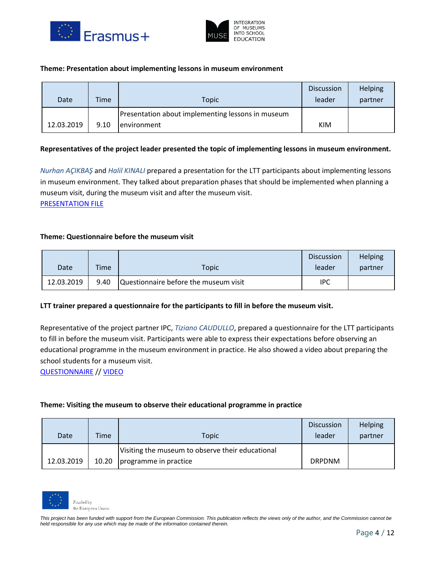



#### **Theme: Presentation about implementing lessons in museum environment**

| Date       | Time | Topic                                                                   | <b>Discussion</b><br>leader | Helping<br>partner |
|------------|------|-------------------------------------------------------------------------|-----------------------------|--------------------|
| 12.03.2019 | 9.10 | Presentation about implementing lessons in museum<br><i>environment</i> | KIM                         |                    |

## **Representatives of the project leader presented the topic of implementing lessons in museum environment.**

*Nurhan AÇIKBAŞ* and *Halil KINALI* prepared a presentation for the LTT participants about implementing lessons in museum environment. They talked about preparation phases that should be implemented when planning a museum visit, during the museum visit and after the museum visit.

[PRESENTATION FILE](https://drive.google.com/file/d/18_rNngHJExP2dbFgU_ywy_WovfQIjMjQ/view)

## **Theme: Questionnaire before the museum visit**

|            |      |                                       | <b>Discussion</b> | <b>Helping</b> |
|------------|------|---------------------------------------|-------------------|----------------|
| Date       | Time | <b>Topic</b>                          | leader            | partner        |
| 12.03.2019 | 9.40 | Questionnaire before the museum visit | IPC               |                |

#### **LTT trainer prepared a questionnaire for the participants to fill in before the museum visit.**

Representative of the project partner IPC, *Tiziano CAUDULLO*, prepared a questionnaire for the LTT participants to fill in before the museum visit. Participants were able to express their expectations before observing an educational programme in the museum environment in practice. He also showed a video about preparing the school students for a museum visit.

[QUESTIONNAIRE](https://drive.google.com/file/d/1SPNDotX30dwBq9zcH5VAfgv2jF9DD9ys/view) // [VIDEO](https://drive.google.com/file/d/14hmtPTnI7I52fAPXu6iShmqqyQvPF_uI/view)

#### **Theme: Visiting the museum to observe their educational programme in practice**

| Date       | Time  | Topic                                                                     | <b>Discussion</b><br>leader | Helping<br>partner |
|------------|-------|---------------------------------------------------------------------------|-----------------------------|--------------------|
| 12.03.2019 | 10.20 | Visiting the museum to observe their educational<br>programme in practice | <b>DRPDNM</b>               |                    |

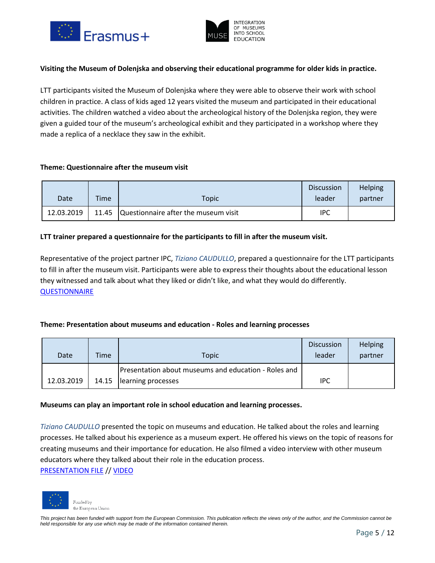



## **Visiting the Museum of Dolenjska and observing their educational programme for older kids in practice.**

LTT participants visited the Museum of Dolenjska where they were able to observe their work with school children in practice. A class of kids aged 12 years visited the museum and participated in their educational activities. The children watched a video about the archeological history of the Dolenjska region, they were given a guided tour of the museum's archeological exhibit and they participated in a workshop where they made a replica of a necklace they saw in the exhibit.

#### **Theme: Questionnaire after the museum visit**

|            |      |                                            | <b>Discussion</b> | <b>Helping</b> |
|------------|------|--------------------------------------------|-------------------|----------------|
| Date       | Time | Topic                                      | leader            | partner        |
| 12.03.2019 |      | 11.45 Questionnaire after the museum visit | IPC               |                |

## **LTT trainer prepared a questionnaire for the participants to fill in after the museum visit.**

Representative of the project partner IPC, *Tiziano CAUDULLO*, prepared a questionnaire for the LTT participants to fill in after the museum visit. Participants were able to express their thoughts about the educational lesson they witnessed and talk about what they liked or didn't like, and what they would do differently. **[QUESTIONNAIRE](https://drive.google.com/file/d/18uNwoXbfZ3QMY7mAzTD-w-8Og1Pn4PiR/view)** 

## **Theme: Presentation about museums and education - Roles and learning processes**

| Date       | Time | Topic                                                | <b>Discussion</b><br>leader | <b>Helping</b><br>partner |
|------------|------|------------------------------------------------------|-----------------------------|---------------------------|
|            |      | Presentation about museums and education - Roles and |                             |                           |
| 12.03.2019 |      | 14.15   learning processes                           | IPC                         |                           |

#### **Museums can play an important role in school education and learning processes.**

*Tiziano CAUDULLO* presented the topic on museums and education. He talked about the roles and learning processes. He talked about his experience as a museum expert. He offered his views on the topic of reasons for creating museums and their importance for education. He also filmed a video interview with other museum educators where they talked about their role in the education process. [PRESENTATION FILE](https://drive.google.com/file/d/168TW5VrEu3kznwa6Oq8R8E6-nueJD8KW/view) // [VIDEO](https://drive.google.com/file/d/1CrOluv8kR4tgfZvUIDfW854cqsZY7_o6/view)

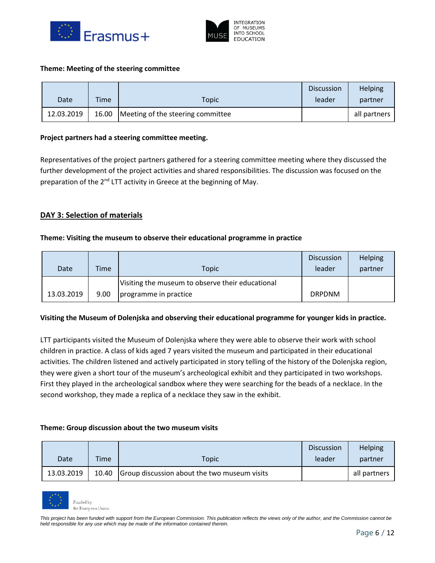



#### **Theme: Meeting of the steering committee**

|            |       |                                   | <b>Discussion</b> | Helping      |
|------------|-------|-----------------------------------|-------------------|--------------|
| Date       | Time  | Topic                             | leader            | partner      |
| 12.03.2019 | 16.00 | Meeting of the steering committee |                   | all partners |

#### **Project partners had a steering committee meeting.**

Representatives of the project partners gathered for a steering committee meeting where they discussed the further development of the project activities and shared responsibilities. The discussion was focused on the preparation of the 2<sup>nd</sup> LTT activity in Greece at the beginning of May.

## **DAY 3: Selection of materials**

#### **Theme: Visiting the museum to observe their educational programme in practice**

| Date       | Time | <b>Topic</b>                                                              | <b>Discussion</b><br>leader | Helping<br>partner |
|------------|------|---------------------------------------------------------------------------|-----------------------------|--------------------|
| 13.03.2019 | 9.00 | Visiting the museum to observe their educational<br>programme in practice | <b>DRPDNM</b>               |                    |

#### **Visiting the Museum of Dolenjska and observing their educational programme for younger kids in practice.**

LTT participants visited the Museum of Dolenjska where they were able to observe their work with school children in practice. A class of kids aged 7 years visited the museum and participated in their educational activities. The children listened and actively participated in story telling of the history of the Dolenjska region, they were given a short tour of the museum's archeological exhibit and they participated in two workshops. First they played in the archeological sandbox where they were searching for the beads of a necklace. In the second workshop, they made a replica of a necklace they saw in the exhibit.

#### **Theme: Group discussion about the two museum visits**

|            |             |                                              | <b>Discussion</b> | <b>Helping</b> |
|------------|-------------|----------------------------------------------|-------------------|----------------|
| Date       | <b>Time</b> | Topic                                        | leader            | partner        |
| 13.03.2019 | 10.40       | Group discussion about the two museum visits |                   | all partners   |

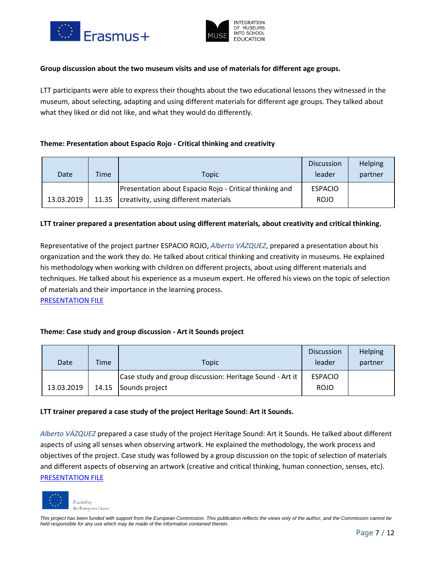



## **Group discussion about the two museum visits and use of materials for different age groups.**

LTT participants were able to express their thoughts about the two educational lessons they witnessed in the museum, about selecting, adapting and using different materials for different age groups. They talked about what they liked or did not like, and what they would do differently.

## **Theme: Presentation about Espacio Rojo - Critical thinking and creativity**

| Date       | Time | <b>Topic</b>                                                                                             | <b>Discussion</b><br>leader   | Helping<br>partner |
|------------|------|----------------------------------------------------------------------------------------------------------|-------------------------------|--------------------|
| 13.03.2019 |      | Presentation about Espacio Rojo - Critical thinking and<br>11.35   creativity, using different materials | <b>ESPACIO</b><br><b>ROJO</b> |                    |

## **LTT trainer prepared a presentation about using different materials, about creativity and critical thinking.**

Representative of the project partner ESPACIO ROJO, *Alberto VÁZQUEZ*, prepared a presentation about his organization and the work they do. He talked about critical thinking and creativity in museums. He explained his methodology when working with children on different projects, about using different materials and techniques. He talked about his experience as a museum expert. He offered his views on the topic of selection of materials and their importance in the learning process.

[PRESENTATION FILE](https://drive.google.com/file/d/1TUt93-QmFvDc20RGyiDKeborg20-DMCP/view)

## **Theme: Case study and group discussion - Art it Sounds project**

| Date       | Time  | Topic                                                                      | <b>Discussion</b><br>leader   | Helping<br>partner |
|------------|-------|----------------------------------------------------------------------------|-------------------------------|--------------------|
| 13.03.2019 | 14.15 | Case study and group discussion: Heritage Sound - Art it<br>Sounds project | <b>ESPACIO</b><br><b>ROJO</b> |                    |
|            |       |                                                                            |                               |                    |

#### **LTT trainer prepared a case study of the project Heritage Sound: Art it Sounds.**

*Alberto VÁZQUEZ* prepared a case study of the project Heritage Sound: Art it Sounds. He talked about different aspects of using all senses when observing artwork. He explained the methodology, the work process and objectives of the project. Case study was followed by a group discussion on the topic of selection of materials and different aspects of observing an artwork (creative and critical thinking, human connection, senses, etc). [PRESENTATION FILE](https://drive.google.com/file/d/1taIzEX5IoYR3CC-Fpb4bs-1PFBKFGy0Z/view)

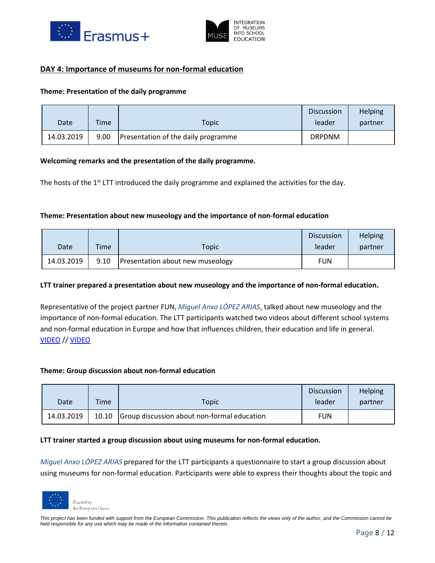



## **DAY 4: Importance of museums for non-formal education**

#### **Theme: Presentation of the daily programme**

| Date       | Time | <b>Topic</b>                        | <b>Discussion</b><br>leader | <b>Helping</b><br>partner |
|------------|------|-------------------------------------|-----------------------------|---------------------------|
| 14.03.2019 | 9.00 | Presentation of the daily programme | <b>DRPDNM</b>               |                           |

## **Welcoming remarks and the presentation of the daily programme.**

The hosts of the 1<sup>st</sup> LTT introduced the daily programme and explained the activities for the day.

## **Theme: Presentation about new museology and the importance of non-formal education**

| Date       | <b>Time</b> | Topic                            | <b>Discussion</b><br>leader | <b>Helping</b><br>partner |
|------------|-------------|----------------------------------|-----------------------------|---------------------------|
| 14.03.2019 | 9.10        | Presentation about new museology | <b>FUN</b>                  |                           |

#### **LTT trainer prepared a presentation about new museology and the importance of non-formal education.**

Representative of the project partner FUN, *Miguel Anxo LÓPEZ ARIAS*, talked about new museology and the importance of non-formal education. The LTT participants watched two videos about different school systems and non-formal education in Europe and how that influences children, their education and life in general. [VIDEO](https://drive.google.com/file/d/1322qNmPbCi0sUfKDR7CMrR3cZBZimi4M/view) // [VIDEO](https://drive.google.com/file/d/10Gb5R4sUQPa09pGkdlbywFKoB2jJ_Wgs/view)

#### **Theme: Group discussion about non-formal education**

|            |       |                                             | <b>Discussion</b> | <b>Helping</b> |
|------------|-------|---------------------------------------------|-------------------|----------------|
| Date       | Time  | Topic                                       | leader            | partner        |
| 14.03.2019 | 10.10 | Group discussion about non-formal education | <b>FUN</b>        |                |

#### **LTT trainer started a group discussion about using museums for non-formal education.**

*Miguel Anxo LÓPEZ ARIAS* prepared for the LTT participants a questionnaire to start a group discussion about using museums for non-formal education. Participants were able to express their thoughts about the topic and

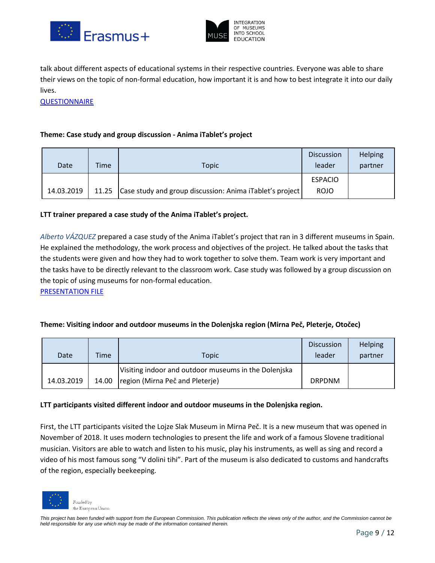



talk about different aspects of educational systems in their respective countries. Everyone was able to share their views on the topic of non-formal education, how important it is and how to best integrate it into our daily lives.

**[QUESTIONNAIRE](https://drive.google.com/file/d/1fVYi5NzWAqP6_aqYGG6oS0DOzQY3YjYa/view)** 

## **Theme: Case study and group discussion - Anima iTablet's project**

| Date       | Time | Topic                                                          | <b>Discussion</b><br>leader | <b>Helping</b><br>partner |
|------------|------|----------------------------------------------------------------|-----------------------------|---------------------------|
|            |      |                                                                | <b>ESPACIO</b>              |                           |
| 14.03.2019 |      | 11.25 Case study and group discussion: Anima iTablet's project | <b>ROJO</b>                 |                           |

## **LTT trainer prepared a case study of the Anima iTablet's project.**

*Alberto VÁZQUEZ* prepared a case study of the Anima iTablet's project that ran in 3 different museums in Spain. He explained the methodology, the work process and objectives of the project. He talked about the tasks that the students were given and how they had to work together to solve them. Team work is very important and the tasks have to be directly relevant to the classroom work. Case study was followed by a group discussion on the topic of using museums for non-formal education.

[PRESENTATION FILE](https://drive.google.com/file/d/1RObdG-77y3bPv4C2R1yMnaGpz4D6byJ6/view)

## **Theme: Visiting indoor and outdoor museums in the Dolenjska region (Mirna Peč, Pleterje, Otočec)**

| Date       | <b>Time</b> | Topic                                                                                   | <b>Discussion</b><br>leader | Helping<br>partner |
|------------|-------------|-----------------------------------------------------------------------------------------|-----------------------------|--------------------|
| 14.03.2019 | 14.00       | Visiting indoor and outdoor museums in the Dolenjska<br>region (Mirna Peč and Pleterje) | <b>DRPDNM</b>               |                    |

## **LTT participants visited different indoor and outdoor museums in the Dolenjska region.**

First, the LTT participants visited the Lojze Slak Museum in Mirna Peč. It is a new museum that was opened in November of 2018. It uses modern technologies to present the life and work of a famous Slovene traditional musician. Visitors are able to watch and listen to his music, play his instruments, as well as sing and record a video of his most famous song "V dolini tihi". Part of the museum is also dedicated to customs and handcrafts of the region, especially beekeeping.

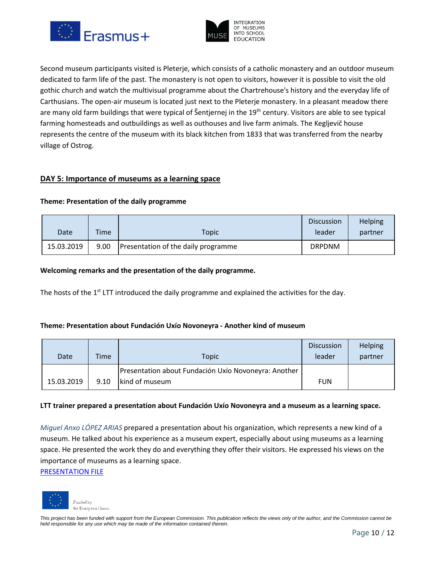



Second museum participants visited is Pleterje, which consists of a catholic monastery and an outdoor museum dedicated to farm life of the past. The monastery is not open to visitors, however it is possible to visit the old gothic church and watch the multivisual programme about the Chartrehouse's history and the everyday life of Carthusians. The open-air museum is located just next to the Pleterje monastery. In a pleasant meadow there are many old farm buildings that were typical of Šentjernej in the 19<sup>th</sup> century. Visitors are able to see typical farming homesteads and outbuildings as well as outhouses and live farm animals. The Kegljevič house represents the centre of the museum with its black kitchen from 1833 that was transferred from the nearby village of Ostrog.

## **DAY 5: Importance of museums as a learning space**

## **Theme: Presentation of the daily programme**

|            |             |                                     | <b>Discussion</b> | <b>Helping</b> |
|------------|-------------|-------------------------------------|-------------------|----------------|
| Date       | <b>Time</b> | Topic                               | leader            | partner        |
| 15.03.2019 | 9.00        | Presentation of the daily programme | <b>DRPDNM</b>     |                |

## **Welcoming remarks and the presentation of the daily programme.**

The hosts of the 1<sup>st</sup> LTT introduced the daily programme and explained the activities for the day.

#### **Theme: Presentation about Fundación Uxío Novoneyra - Another kind of museum**

| Date       | Time | Topic                                                                  | <b>Discussion</b><br>leader | Helping<br>partner |
|------------|------|------------------------------------------------------------------------|-----------------------------|--------------------|
| 15.03.2019 | 9.10 | Presentation about Fundación Uxío Novoneyra: Another<br>kind of museum | <b>FUN</b>                  |                    |

#### **LTT trainer prepared a presentation about Fundación Uxío Novoneyra and a museum as a learning space.**

*Miguel Anxo LÓPEZ ARIAS* prepared a presentation about his organization, which represents a new kind of a museum. He talked about his experience as a museum expert, especially about using museums as a learning space. He presented the work they do and everything they offer their visitors. He expressed his views on the importance of museums as a learning space.

[PRESENTATION FILE](https://drive.google.com/file/d/1qa_YhEGFJPw-TqUk0EDIpOyE3jDddxvX/view)

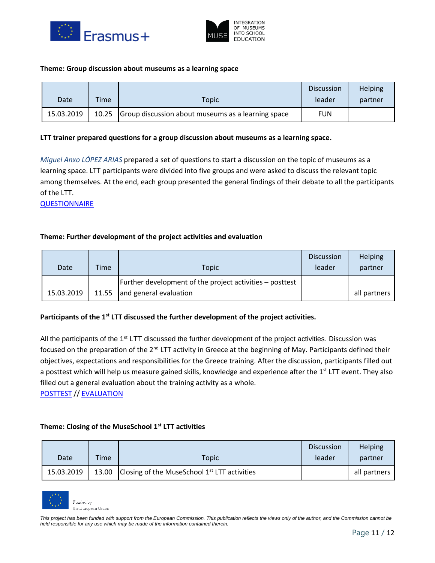



#### **Theme: Group discussion about museums as a learning space**

| Date       | Time  | Topic                                              | <b>Discussion</b><br>leader | <b>Helping</b><br>partner |
|------------|-------|----------------------------------------------------|-----------------------------|---------------------------|
| 15.03.2019 | 10.25 | Group discussion about museums as a learning space | <b>FUN</b>                  |                           |

#### **LTT trainer prepared questions for a group discussion about museums as a learning space.**

*Miguel Anxo LÓPEZ ARIAS* prepared a set of questions to start a discussion on the topic of museums as a learning space. LTT participants were divided into five groups and were asked to discuss the relevant topic among themselves. At the end, each group presented the general findings of their debate to all the participants of the LTT.

**[QUESTIONNAIRE](https://drive.google.com/file/d/1lcZGzlzUwxXLNFTTTb9-cs24smqujKGp/view)** 

## **Theme: Further development of the project activities and evaluation**

| Date       | Time  | Topic                                                    | <b>Discussion</b><br>leader | Helping<br>partner |
|------------|-------|----------------------------------------------------------|-----------------------------|--------------------|
|            |       | Further development of the project activities – posttest |                             |                    |
| 15.03.2019 | 11.55 | and general evaluation                                   |                             | all partners       |

## **Participants of the 1st LTT discussed the further development of the project activities.**

All the participants of the 1<sup>st</sup> LTT discussed the further development of the project activities. Discussion was focused on the preparation of the 2<sup>nd</sup> LTT activity in Greece at the beginning of May. Participants defined their objectives, expectations and responsibilities for the Greece training. After the discussion, participants filled out a posttest which will help us measure gained skills, knowledge and experience after the 1<sup>st</sup> LTT event. They also filled out a general evaluation about the training activity as a whole.

[POSTTEST](https://drive.google.com/file/d/15hpZGjEnyDIrf_AL_0zNjk7lJR3r3m3u/view) /[/ EVALUATION](https://drive.google.com/file/d/1t7-Xho2bbdd3VN1cyMcdZMRgYyTMZpex/view)

## **Theme: Closing of the MuseSchool 1st LTT activities**

|            |      |                                                         | <b>Discussion</b> | Helping      |
|------------|------|---------------------------------------------------------|-------------------|--------------|
| Date       | Time | Topic                                                   | leader            | partner      |
| 15.03.2019 |      | 13.00 Closing of the MuseSchool $1^{st}$ LTT activities |                   | all partners |